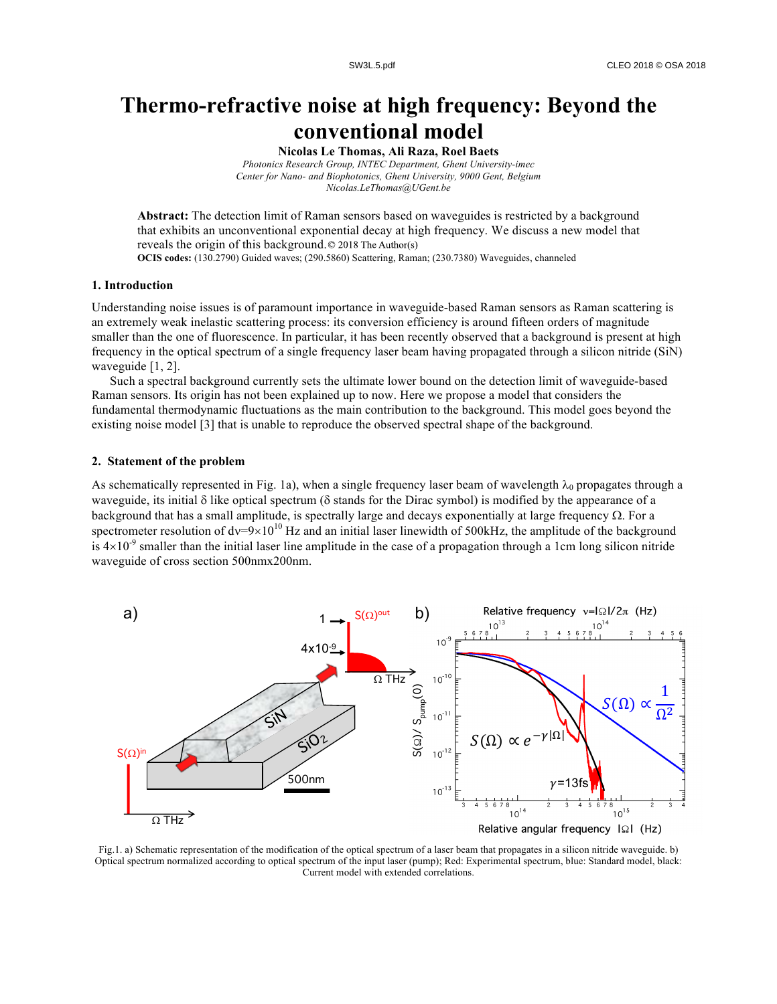# **Thermo-refractive noise at high frequency: Beyond the conventional model**

**Nicolas Le Thomas, Ali Raza, Roel Baets**

*Photonics Research Group, INTEC Department, Ghent University-imec Center for Nano- and Biophotonics, Ghent University, 9000 Gent, Belgium Nicolas.LeThomas@UGent.be*

**Abstract:** The detection limit of Raman sensors based on waveguides is restricted by a background that exhibits an unconventional exponential decay at high frequency. We discuss a new model that reveals the origin of this background. © 2018 The Author(s) **OCIS codes:** (130.2790) Guided waves; (290.5860) Scattering, Raman; (230.7380) Waveguides, channeled

## **1. Introduction**

Understanding noise issues is of paramount importance in waveguide-based Raman sensors as Raman scattering is an extremely weak inelastic scattering process: its conversion efficiency is around fifteen orders of magnitude smaller than the one of fluorescence. In particular, it has been recently observed that a background is present at high frequency in the optical spectrum of a single frequency laser beam having propagated through a silicon nitride (SiN) waveguide [1, 2].

Such a spectral background currently sets the ultimate lower bound on the detection limit of waveguide-based Raman sensors. Its origin has not been explained up to now. Here we propose a model that considers the fundamental thermodynamic fluctuations as the main contribution to the background. This model goes beyond the existing noise model [3] that is unable to reproduce the observed spectral shape of the background.

## **2. Statement of the problem**

As schematically represented in Fig. 1a), when a single frequency laser beam of wavelength  $\lambda_0$  propagates through a waveguide, its initial  $\delta$  like optical spectrum ( $\delta$  stands for the Dirac symbol) is modified by the appearance of a background that has a small amplitude, is spectrally large and decays exponentially at large frequency  $\Omega$ . For a spectrometer resolution of  $dv=9\times10^{10}$  Hz and an initial laser linewidth of 500kHz, the amplitude of the background is  $4\times10^{-9}$  smaller than the initial laser line amplitude in the case of a propagation through a 1cm long silicon nitride waveguide of cross section 500nmx200nm.



Fig.1. a) Schematic representation of the modification of the optical spectrum of a laser beam that propagates in a silicon nitride waveguide. b) Optical spectrum normalized according to optical spectrum of the input laser (pump); Red: Experimental spectrum, blue: Standard model, black: Current model with extended correlations.